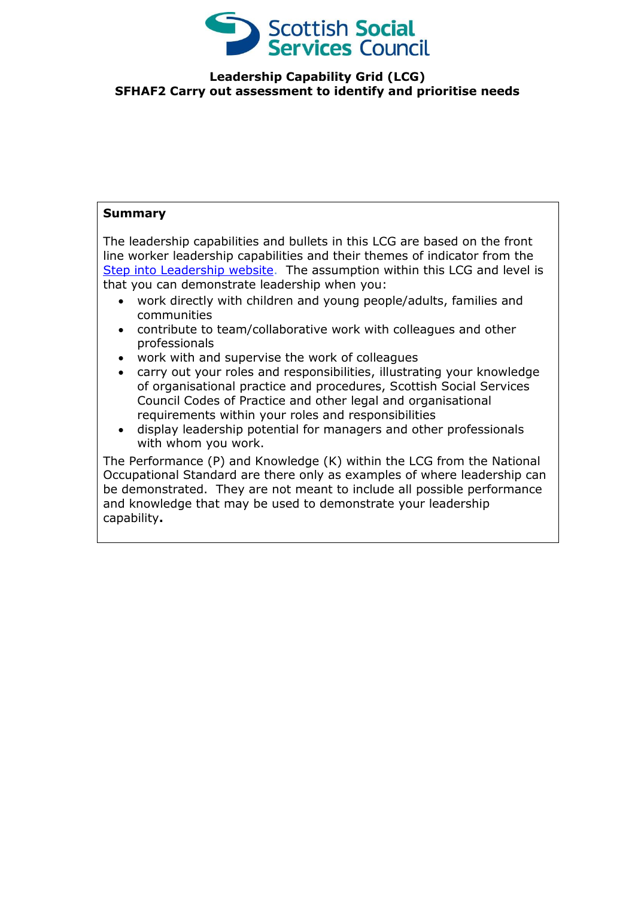

## **Leadership Capability Grid (LCG) SFHAF2 Carry out assessment to identify and prioritise needs**

## **Summary**

The leadership capabilities and bullets in this LCG are based on the front line worker leadership capabilities and their themes of indicator from the [Step into Leadership website.](http://www.stepintoleadership.info/) The assumption within this LCG and level is that you can demonstrate leadership when you:

- work directly with children and young people/adults, families and communities
- contribute to team/collaborative work with colleagues and other professionals
- work with and supervise the work of colleagues
- carry out your roles and responsibilities, illustrating your knowledge of organisational practice and procedures, Scottish Social Services Council Codes of Practice and other legal and organisational requirements within your roles and responsibilities
- display leadership potential for managers and other professionals with whom you work.

The Performance (P) and Knowledge (K) within the LCG from the National Occupational Standard are there only as examples of where leadership can be demonstrated. They are not meant to include all possible performance and knowledge that may be used to demonstrate your leadership capability**.**